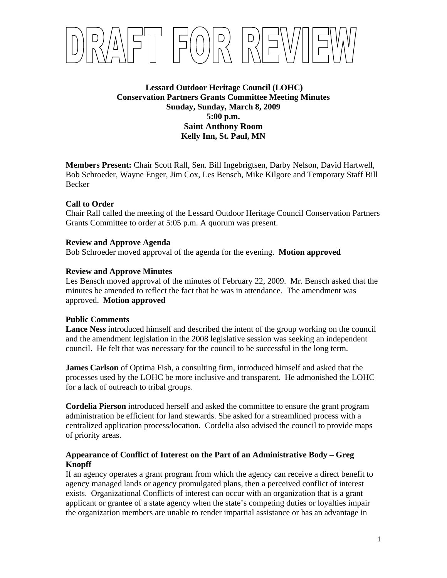

**Lessard Outdoor Heritage Council (LOHC) Conservation Partners Grants Committee Meeting Minutes Sunday, Sunday, March 8, 2009 5:00 p.m. Saint Anthony Room Kelly Inn, St. Paul, MN** 

**Members Present:** Chair Scott Rall, Sen. Bill Ingebrigtsen, Darby Nelson, David Hartwell, Bob Schroeder, Wayne Enger, Jim Cox, Les Bensch, Mike Kilgore and Temporary Staff Bill Becker

# **Call to Order**

Chair Rall called the meeting of the Lessard Outdoor Heritage Council Conservation Partners Grants Committee to order at 5:05 p.m. A quorum was present.

## **Review and Approve Agenda**

Bob Schroeder moved approval of the agenda for the evening. **Motion approved** 

# **Review and Approve Minutes**

Les Bensch moved approval of the minutes of February 22, 2009. Mr. Bensch asked that the minutes be amended to reflect the fact that he was in attendance. The amendment was approved. **Motion approved**

## **Public Comments**

**Lance Ness** introduced himself and described the intent of the group working on the council and the amendment legislation in the 2008 legislative session was seeking an independent council. He felt that was necessary for the council to be successful in the long term.

**James Carlson** of Optima Fish, a consulting firm, introduced himself and asked that the processes used by the LOHC be more inclusive and transparent. He admonished the LOHC for a lack of outreach to tribal groups.

**Cordelia Pierson** introduced herself and asked the committee to ensure the grant program administration be efficient for land stewards. She asked for a streamlined process with a centralized application process/location. Cordelia also advised the council to provide maps of priority areas.

# **Appearance of Conflict of Interest on the Part of an Administrative Body – Greg Knopff**

If an agency operates a grant program from which the agency can receive a direct benefit to agency managed lands or agency promulgated plans, then a perceived conflict of interest exists. Organizational Conflicts of interest can occur with an organization that is a grant applicant or grantee of a state agency when the state's competing duties or loyalties impair the organization members are unable to render impartial assistance or has an advantage in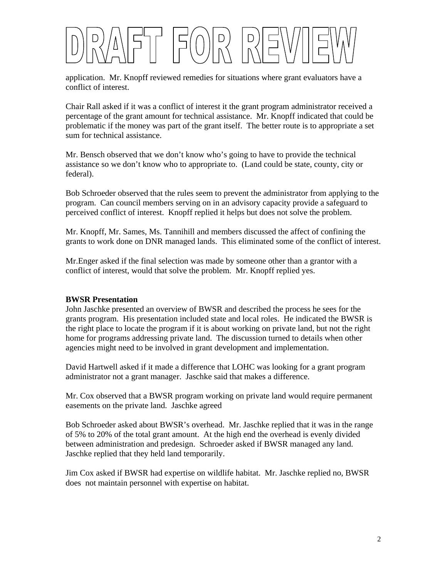

application. Mr. Knopff reviewed remedies for situations where grant evaluators have a conflict of interest.

Chair Rall asked if it was a conflict of interest it the grant program administrator received a percentage of the grant amount for technical assistance. Mr. Knopff indicated that could be problematic if the money was part of the grant itself. The better route is to appropriate a set sum for technical assistance.

Mr. Bensch observed that we don't know who's going to have to provide the technical assistance so we don't know who to appropriate to. (Land could be state, county, city or federal).

Bob Schroeder observed that the rules seem to prevent the administrator from applying to the program. Can council members serving on in an advisory capacity provide a safeguard to perceived conflict of interest. Knopff replied it helps but does not solve the problem.

Mr. Knopff, Mr. Sames, Ms. Tannihill and members discussed the affect of confining the grants to work done on DNR managed lands. This eliminated some of the conflict of interest.

Mr.Enger asked if the final selection was made by someone other than a grantor with a conflict of interest, would that solve the problem. Mr. Knopff replied yes.

# **BWSR Presentation**

John Jaschke presented an overview of BWSR and described the process he sees for the grants program. His presentation included state and local roles. He indicated the BWSR is the right place to locate the program if it is about working on private land, but not the right home for programs addressing private land. The discussion turned to details when other agencies might need to be involved in grant development and implementation.

David Hartwell asked if it made a difference that LOHC was looking for a grant program administrator not a grant manager. Jaschke said that makes a difference.

Mr. Cox observed that a BWSR program working on private land would require permanent easements on the private land. Jaschke agreed

Bob Schroeder asked about BWSR's overhead. Mr. Jaschke replied that it was in the range of 5% to 20% of the total grant amount. At the high end the overhead is evenly divided between administration and predesign. Schroeder asked if BWSR managed any land. Jaschke replied that they held land temporarily.

Jim Cox asked if BWSR had expertise on wildlife habitat. Mr. Jaschke replied no, BWSR does not maintain personnel with expertise on habitat.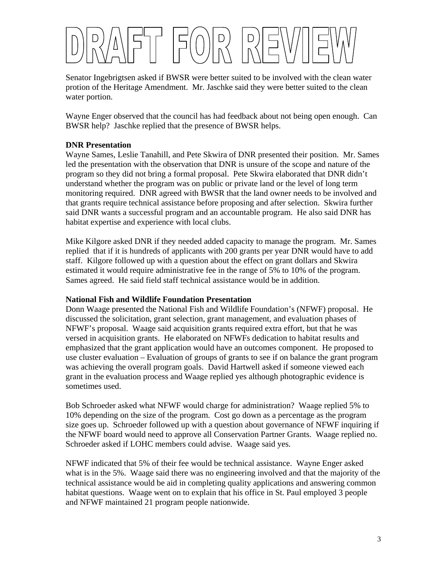Senator Ingebrigtsen asked if BWSR were better suited to be involved with the clean water protion of the Heritage Amendment. Mr. Jaschke said they were better suited to the clean water portion.

Wayne Enger observed that the council has had feedback about not being open enough. Can BWSR help? Jaschke replied that the presence of BWSR helps.

# **DNR Presentation**

Wayne Sames, Leslie Tanahill, and Pete Skwira of DNR presented their position. Mr. Sames led the presentation with the observation that DNR is unsure of the scope and nature of the program so they did not bring a formal proposal. Pete Skwira elaborated that DNR didn't understand whether the program was on public or private land or the level of long term monitoring required. DNR agreed with BWSR that the land owner needs to be involved and that grants require technical assistance before proposing and after selection. Skwira further said DNR wants a successful program and an accountable program. He also said DNR has habitat expertise and experience with local clubs.

Mike Kilgore asked DNR if they needed added capacity to manage the program. Mr. Sames replied that if it is hundreds of applicants with 200 grants per year DNR would have to add staff. Kilgore followed up with a question about the effect on grant dollars and Skwira estimated it would require administrative fee in the range of 5% to 10% of the program. Sames agreed. He said field staff technical assistance would be in addition.

# **National Fish and Wildlife Foundation Presentation**

Donn Waage presented the National Fish and Wildlife Foundation's (NFWF) proposal. He discussed the solicitation, grant selection, grant management, and evaluation phases of NFWF's proposal. Waage said acquisition grants required extra effort, but that he was versed in acquisition grants. He elaborated on NFWFs dedication to habitat results and emphasized that the grant application would have an outcomes component. He proposed to use cluster evaluation – Evaluation of groups of grants to see if on balance the grant program was achieving the overall program goals. David Hartwell asked if someone viewed each grant in the evaluation process and Waage replied yes although photographic evidence is sometimes used.

Bob Schroeder asked what NFWF would charge for administration? Waage replied 5% to 10% depending on the size of the program. Cost go down as a percentage as the program size goes up. Schroeder followed up with a question about governance of NFWF inquiring if the NFWF board would need to approve all Conservation Partner Grants. Waage replied no. Schroeder asked if LOHC members could advise. Waage said yes.

NFWF indicated that 5% of their fee would be technical assistance. Wayne Enger asked what is in the 5%. Waage said there was no engineering involved and that the majority of the technical assistance would be aid in completing quality applications and answering common habitat questions. Waage went on to explain that his office in St. Paul employed 3 people and NFWF maintained 21 program people nationwide.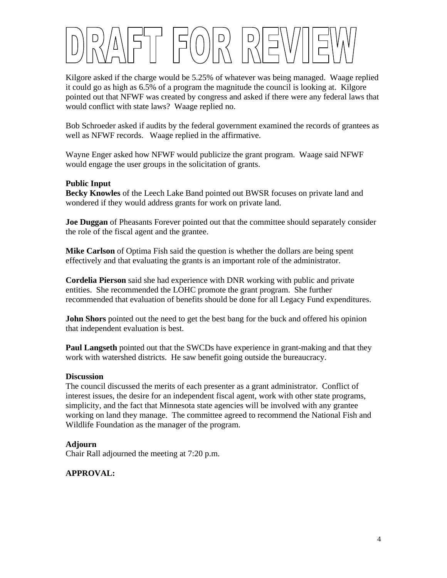

Kilgore asked if the charge would be 5.25% of whatever was being managed. Waage replied it could go as high as 6.5% of a program the magnitude the council is looking at. Kilgore pointed out that NFWF was created by congress and asked if there were any federal laws that would conflict with state laws? Waage replied no.

Bob Schroeder asked if audits by the federal government examined the records of grantees as well as NFWF records. Waage replied in the affirmative.

Wayne Enger asked how NFWF would publicize the grant program. Waage said NFWF would engage the user groups in the solicitation of grants.

## **Public Input**

**Becky Knowles** of the Leech Lake Band pointed out BWSR focuses on private land and wondered if they would address grants for work on private land.

**Joe Duggan** of Pheasants Forever pointed out that the committee should separately consider the role of the fiscal agent and the grantee.

**Mike Carlson** of Optima Fish said the question is whether the dollars are being spent effectively and that evaluating the grants is an important role of the administrator.

**Cordelia Pierson** said she had experience with DNR working with public and private entities. She recommended the LOHC promote the grant program. She further recommended that evaluation of benefits should be done for all Legacy Fund expenditures.

**John Shors** pointed out the need to get the best bang for the buck and offered his opinion that independent evaluation is best.

**Paul Langseth** pointed out that the SWCDs have experience in grant-making and that they work with watershed districts. He saw benefit going outside the bureaucracy.

## **Discussion**

The council discussed the merits of each presenter as a grant administrator. Conflict of interest issues, the desire for an independent fiscal agent, work with other state programs, simplicity, and the fact that Minnesota state agencies will be involved with any grantee working on land they manage. The committee agreed to recommend the National Fish and Wildlife Foundation as the manager of the program.

## **Adjourn**

Chair Rall adjourned the meeting at 7:20 p.m.

# **APPROVAL:**